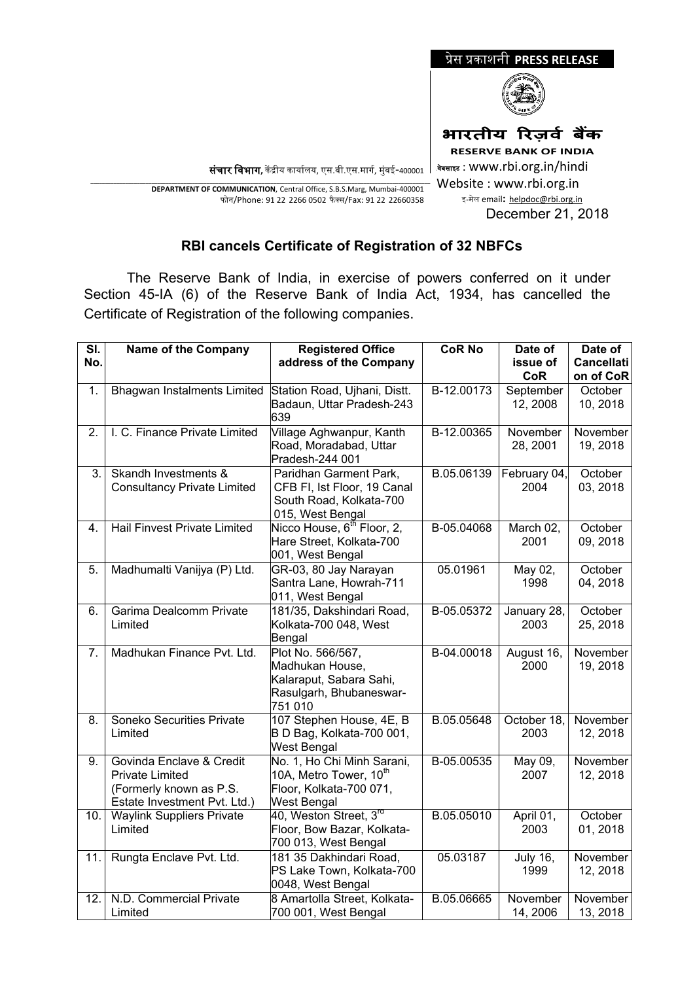

December 21, 2018

**संचार विभाग,** केंद्रीय कार्यालय, एस.बी.एस.मार्ग, मुंबई-400001 <sup>|</sup>

\_\_\_\_\_\_\_\_\_\_\_\_\_\_\_\_\_\_\_\_\_\_\_\_\_\_\_\_\_\_\_\_\_\_\_\_\_\_\_\_\_\_\_\_\_\_\_\_\_\_\_\_\_\_\_\_\_\_\_\_\_\_\_\_\_\_\_\_\_\_\_\_\_\_\_\_\_\_\_\_\_\_\_\_\_\_\_\_\_\_\_\_\_\_\_\_\_\_\_\_\_\_\_\_\_\_\_\_\_\_\_\_\_\_\_\_\_ **DEPARTMENT OF COMMUNICATION**, Central Office, S.B.S.Marg, Mumbai-400001 फोन/Phone: 91 22 2266 0502 फै क्स/Fax: 91 22 22660358

## **RBI cancels Certificate of Registration of 32 NBFCs**

 The Reserve Bank of India, in exercise of powers conferred on it under Section 45-IA (6) of the Reserve Bank of India Act, 1934, has cancelled the Certificate of Registration of the following companies.

| SI.<br>No. | <b>Name of the Company</b>                                                                                    | <b>Registered Office</b><br>address of the Company                                                                | <b>CoR No</b> | Date of<br>issue of<br><b>CoR</b> | Date of<br><b>Cancellati</b><br>on of CoR |
|------------|---------------------------------------------------------------------------------------------------------------|-------------------------------------------------------------------------------------------------------------------|---------------|-----------------------------------|-------------------------------------------|
| 1.         | <b>Bhagwan Instalments Limited</b>                                                                            | Station Road, Ujhani, Distt.<br>Badaun, Uttar Pradesh-243<br>639                                                  | B-12.00173    | September<br>12, 2008             | October<br>10, 2018                       |
| 2.         | I. C. Finance Private Limited                                                                                 | Village Aghwanpur, Kanth<br>Road, Moradabad, Uttar<br>Pradesh-244 001                                             | B-12.00365    | November<br>28, 2001              | November<br>19, 2018                      |
| 3.         | Skandh Investments &<br><b>Consultancy Private Limited</b>                                                    | Paridhan Garment Park,<br>CFB FI, Ist Floor, 19 Canal<br>South Road, Kolkata-700<br>015, West Bengal              | B.05.06139    | February 04,<br>2004              | October<br>03, 2018                       |
| 4.         | Hail Finvest Private Limited                                                                                  | Nicco House, 6 <sup>th</sup> Floor, 2,<br>Hare Street, Kolkata-700<br>001, West Bengal                            | B-05.04068    | March 02,<br>2001                 | October<br>09, 2018                       |
| 5.         | Madhumalti Vanijya (P) Ltd.                                                                                   | GR-03, 80 Jay Narayan<br>Santra Lane, Howrah-711<br>011, West Bengal                                              | 05.01961      | May 02,<br>1998                   | October<br>04, 2018                       |
| 6.         | Garima Dealcomm Private<br>Limited                                                                            | 181/35, Dakshindari Road,<br>Kolkata-700 048, West<br>Bengal                                                      | B-05.05372    | January 28,<br>2003               | October<br>25, 2018                       |
| 7.         | Madhukan Finance Pvt. Ltd.                                                                                    | Plot No. 566/567,<br>Madhukan House,<br>Kalaraput, Sabara Sahi,<br>Rasulgarh, Bhubaneswar-<br>751 010             | B-04.00018    | August 16,<br>2000                | November<br>19, 2018                      |
| 8.         | Soneko Securities Private<br>Limited                                                                          | 107 Stephen House, 4E, B<br>B D Bag, Kolkata-700 001,<br><b>West Bengal</b>                                       | B.05.05648    | October 18,<br>2003               | November<br>12, 2018                      |
| 9.         | Govinda Enclave & Credit<br><b>Private Limited</b><br>(Formerly known as P.S.<br>Estate Investment Pvt. Ltd.) | No. 1, Ho Chi Minh Sarani,<br>10A, Metro Tower, 10 <sup>th</sup><br>Floor, Kolkata-700 071,<br><b>West Bengal</b> | B-05.00535    | May 09,<br>2007                   | November<br>12, 2018                      |
| 10.        | <b>Waylink Suppliers Private</b><br>Limited                                                                   | 40, Weston Street, 3 <sup>rd</sup><br>Floor, Bow Bazar, Kolkata-<br>700 013, West Bengal                          | B.05.05010    | April 01,<br>2003                 | October<br>01, 2018                       |
| 11.        | Rungta Enclave Pvt. Ltd.                                                                                      | 181 35 Dakhindari Road,<br>PS Lake Town, Kolkata-700<br>0048, West Bengal                                         | 05.03187      | <b>July 16,</b><br>1999           | November<br>12, 2018                      |
| 12.        | N.D. Commercial Private<br>Limited                                                                            | 8 Amartolla Street, Kolkata-<br>700 001, West Bengal                                                              | B.05.06665    | November<br>14, 2006              | November<br>13, 2018                      |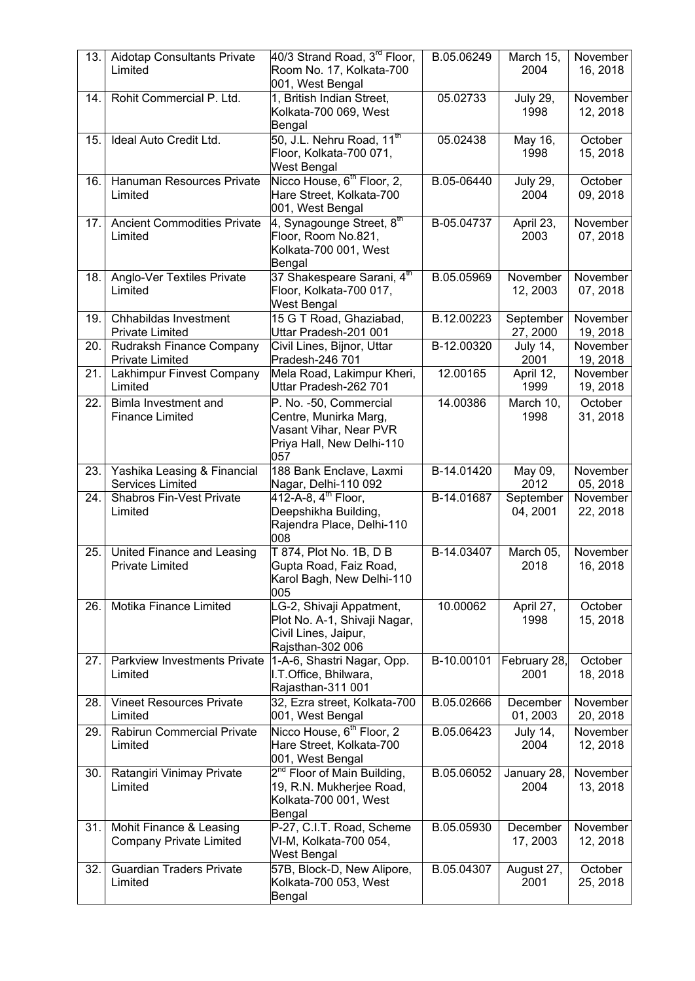| 13. | Aidotap Consultants Private<br>Limited                    | 40/3 Strand Road, 3 <sup>rd</sup> Floor,<br>Room No. 17, Kolkata-700<br>001, West Bengal                      | B.05.06249 | March 15,<br>2004       | November<br>16, 2018 |
|-----|-----------------------------------------------------------|---------------------------------------------------------------------------------------------------------------|------------|-------------------------|----------------------|
| 14. | Rohit Commercial P. Ltd.                                  | 1, British Indian Street,<br>Kolkata-700 069, West<br>Bengal                                                  | 05.02733   | <b>July 29,</b><br>1998 | November<br>12, 2018 |
| 15. | Ideal Auto Credit Ltd.                                    | 50, J.L. Nehru Road, 11 <sup>th</sup><br>Floor, Kolkata-700 071,<br>West Bengal                               | 05.02438   | May 16,<br>1998         | October<br>15, 2018  |
| 16. | Hanuman Resources Private<br>Limited                      | Nicco House, 6 <sup>th</sup> Floor, 2,<br>Hare Street, Kolkata-700<br>001, West Bengal                        | B.05-06440 | <b>July 29,</b><br>2004 | October<br>09, 2018  |
| 17. | <b>Ancient Commodities Private</b><br>Limited             | 4, Synagounge Street, 8th<br>Floor, Room No.821,<br>Kolkata-700 001, West<br>Bengal                           | B-05.04737 | April 23,<br>2003       | November<br>07, 2018 |
| 18. | Anglo-Ver Textiles Private<br>Limited                     | 37 Shakespeare Sarani, 4th<br>Floor, Kolkata-700 017,<br>West Bengal                                          | B.05.05969 | November<br>12, 2003    | November<br>07, 2018 |
| 19. | Chhabildas Investment<br><b>Private Limited</b>           | 15 G T Road, Ghaziabad,<br>Uttar Pradesh-201 001                                                              | B.12.00223 | September<br>27, 2000   | November<br>19, 2018 |
| 20. | Rudraksh Finance Company<br><b>Private Limited</b>        | Civil Lines, Bijnor, Uttar<br>Pradesh-246 701                                                                 | B-12.00320 | <b>July 14,</b><br>2001 | November<br>19, 2018 |
| 21. | Lakhimpur Finvest Company<br>Limited                      | Mela Road, Lakimpur Kheri,<br>Uttar Pradesh-262 701                                                           | 12.00165   | April 12,<br>1999       | November<br>19, 2018 |
| 22. | Bimla Investment and<br><b>Finance Limited</b>            | P. No. -50, Commercial<br>Centre, Munirka Marg,<br>Vasant Vihar, Near PVR<br>Priya Hall, New Delhi-110<br>057 | 14.00386   | March 10,<br>1998       | October<br>31, 2018  |
| 23. | Yashika Leasing & Financial<br>Services Limited           | 188 Bank Enclave, Laxmi<br>Nagar, Delhi-110 092                                                               | B-14.01420 | May 09,<br>2012         | November<br>05, 2018 |
| 24. | <b>Shabros Fin-Vest Private</b><br>Limited                | 412-A-8, 4 <sup>th</sup> Floor,<br>Deepshikha Building,<br>Rajendra Place, Delhi-110<br>008                   | B-14.01687 | September<br>04, 2001   | November<br>22, 2018 |
| 25. | United Finance and Leasing<br><b>Private Limited</b>      | T 874, Plot No. 1B, D B<br>Gupta Road, Faiz Road,<br>Karol Bagh, New Delhi-110<br>005                         | B-14.03407 | March 05,<br>2018       | November<br>16, 2018 |
| 26. | Motika Finance Limited                                    | LG-2, Shivaji Appatment,<br>Plot No. A-1, Shivaji Nagar,<br>Civil Lines, Jaipur,<br>Rajsthan-302 006          | 10.00062   | April 27,<br>1998       | October<br>15, 2018  |
| 27. | Parkview Investments Private<br>Limited                   | 1-A-6, Shastri Nagar, Opp.<br>I.T.Office, Bhilwara,<br>Rajasthan-311 001                                      | B-10.00101 | February 28,<br>2001    | October<br>18, 2018  |
| 28. | <b>Vineet Resources Private</b><br>Limited                | 32, Ezra street, Kolkata-700<br>001, West Bengal                                                              | B.05.02666 | December<br>01, 2003    | November<br>20, 2018 |
| 29. | Rabirun Commercial Private<br>Limited                     | Nicco House, 6 <sup>th</sup> Floor, 2<br>Hare Street, Kolkata-700<br>001, West Bengal                         | B.05.06423 | <b>July 14,</b><br>2004 | November<br>12, 2018 |
| 30. | Ratangiri Vinimay Private<br>Limited                      | 2 <sup>nd</sup> Floor of Main Building,<br>19, R.N. Mukherjee Road,<br>Kolkata-700 001, West<br>Bengal        | B.05.06052 | January 28,<br>2004     | November<br>13, 2018 |
| 31. | Mohit Finance & Leasing<br><b>Company Private Limited</b> | P-27, C.I.T. Road, Scheme<br>VI-M, Kolkata-700 054,<br>West Bengal                                            | B.05.05930 | December<br>17, 2003    | November<br>12, 2018 |
| 32. | <b>Guardian Traders Private</b><br>Limited                | 57B, Block-D, New Alipore,<br>Kolkata-700 053, West<br>Bengal                                                 | B.05.04307 | August 27,<br>2001      | October<br>25, 2018  |